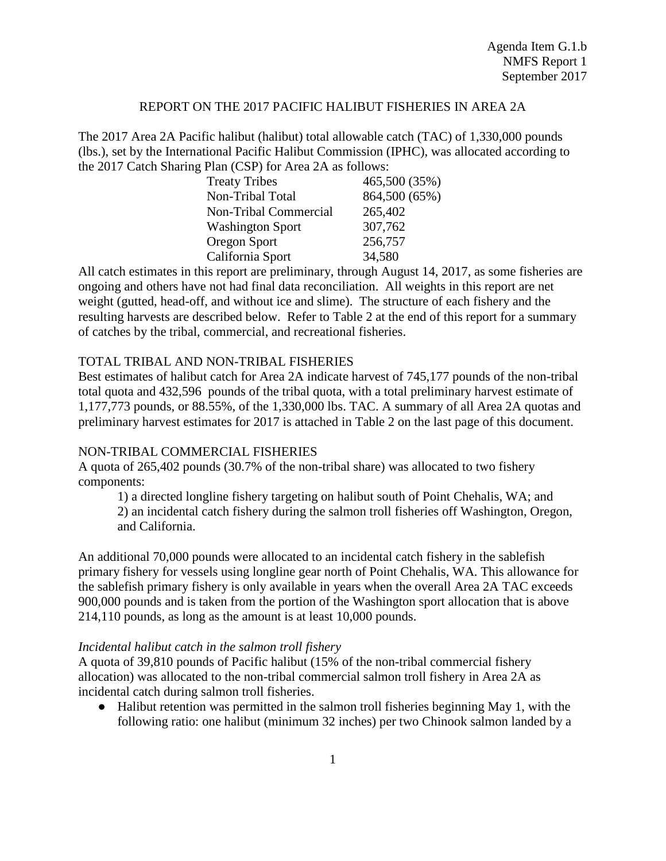### REPORT ON THE 2017 PACIFIC HALIBUT FISHERIES IN AREA 2A

The 2017 Area 2A Pacific halibut (halibut) total allowable catch (TAC) of 1,330,000 pounds (lbs.), set by the International Pacific Halibut Commission (IPHC), was allocated according to the 2017 Catch Sharing Plan (CSP) for Area 2A as follows:

| <b>Treaty Tribes</b>    | 465,500 (35%) |
|-------------------------|---------------|
| Non-Tribal Total        | 864,500 (65%) |
| Non-Tribal Commercial   | 265,402       |
| <b>Washington Sport</b> | 307,762       |
| Oregon Sport            | 256,757       |
| California Sport        | 34,580        |

All catch estimates in this report are preliminary, through August 14, 2017, as some fisheries are ongoing and others have not had final data reconciliation. All weights in this report are net weight (gutted, head-off, and without ice and slime). The structure of each fishery and the resulting harvests are described below. Refer to Table 2 at the end of this report for a summary of catches by the tribal, commercial, and recreational fisheries.

### TOTAL TRIBAL AND NON-TRIBAL FISHERIES

Best estimates of halibut catch for Area 2A indicate harvest of 745,177 pounds of the non-tribal total quota and 432,596 pounds of the tribal quota, with a total preliminary harvest estimate of 1,177,773 pounds, or 88.55%, of the 1,330,000 lbs. TAC. A summary of all Area 2A quotas and preliminary harvest estimates for 2017 is attached in Table 2 on the last page of this document.

#### NON-TRIBAL COMMERCIAL FISHERIES

A quota of 265,402 pounds (30.7% of the non-tribal share) was allocated to two fishery components:

1) a directed longline fishery targeting on halibut south of Point Chehalis, WA; and 2) an incidental catch fishery during the salmon troll fisheries off Washington, Oregon, and California.

An additional 70,000 pounds were allocated to an incidental catch fishery in the sablefish primary fishery for vessels using longline gear north of Point Chehalis, WA. This allowance for the sablefish primary fishery is only available in years when the overall Area 2A TAC exceeds 900,000 pounds and is taken from the portion of the Washington sport allocation that is above 214,110 pounds, as long as the amount is at least 10,000 pounds.

#### *Incidental halibut catch in the salmon troll fishery*

A quota of 39,810 pounds of Pacific halibut (15% of the non-tribal commercial fishery allocation) was allocated to the non-tribal commercial salmon troll fishery in Area 2A as incidental catch during salmon troll fisheries.

● Halibut retention was permitted in the salmon troll fisheries beginning May 1, with the following ratio: one halibut (minimum 32 inches) per two Chinook salmon landed by a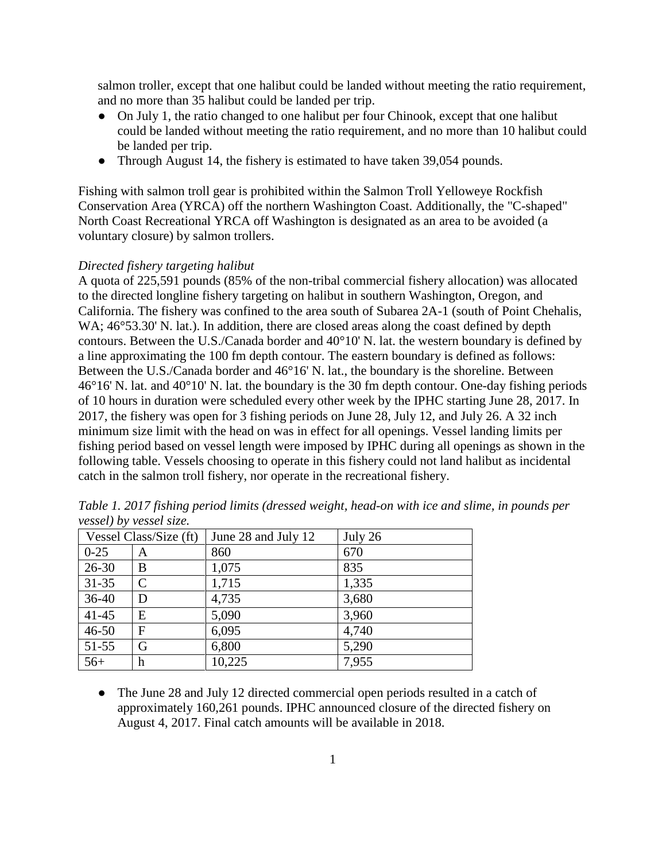salmon troller, except that one halibut could be landed without meeting the ratio requirement, and no more than 35 halibut could be landed per trip.

- On July 1, the ratio changed to one halibut per four Chinook, except that one halibut could be landed without meeting the ratio requirement, and no more than 10 halibut could be landed per trip.
- Through August 14, the fishery is estimated to have taken 39,054 pounds.

Fishing with salmon troll gear is prohibited within the Salmon Troll Yelloweye Rockfish Conservation Area (YRCA) off the northern Washington Coast. Additionally, the "C-shaped" North Coast Recreational YRCA off Washington is designated as an area to be avoided (a voluntary closure) by salmon trollers.

## *Directed fishery targeting halibut*

A quota of 225,591 pounds (85% of the non-tribal commercial fishery allocation) was allocated to the directed longline fishery targeting on halibut in southern Washington, Oregon, and California. The fishery was confined to the area south of Subarea 2A-1 (south of Point Chehalis, WA;  $46^{\circ}53.30'$  N. lat.). In addition, there are closed areas along the coast defined by depth contours. Between the U.S./Canada border and 40°10' N. lat. the western boundary is defined by a line approximating the 100 fm depth contour. The eastern boundary is defined as follows: Between the U.S./Canada border and 46°16' N. lat., the boundary is the shoreline. Between 46°16' N. lat. and 40°10' N. lat. the boundary is the 30 fm depth contour. One-day fishing periods of 10 hours in duration were scheduled every other week by the IPHC starting June 28, 2017. In 2017, the fishery was open for 3 fishing periods on June 28, July 12, and July 26. A 32 inch minimum size limit with the head on was in effect for all openings. Vessel landing limits per fishing period based on vessel length were imposed by IPHC during all openings as shown in the following table. Vessels choosing to operate in this fishery could not land halibut as incidental catch in the salmon troll fishery, nor operate in the recreational fishery.

| Vessel Class/Size (ft) |              | June 28 and July 12 | July 26 |  |  |
|------------------------|--------------|---------------------|---------|--|--|
| $0 - 25$               | A            | 860                 | 670     |  |  |
| $26 - 30$              | B            | 1,075               | 835     |  |  |
| $31 - 35$              | $\mathsf{C}$ | 1,715               | 1,335   |  |  |
| $36-40$                | D            | 4,735               | 3,680   |  |  |
| $41 - 45$              | E            | 5,090               | 3,960   |  |  |
| $46 - 50$              | F            | 6,095               | 4,740   |  |  |
| 51-55                  | G            | 6,800               | 5,290   |  |  |
| $56+$                  | h            | 10,225              | 7,955   |  |  |

*Table 1. 2017 fishing period limits (dressed weight, head-on with ice and slime, in pounds per vessel) by vessel size.* 

• The June 28 and July 12 directed commercial open periods resulted in a catch of approximately 160,261 pounds. IPHC announced closure of the directed fishery on August 4, 2017. Final catch amounts will be available in 2018.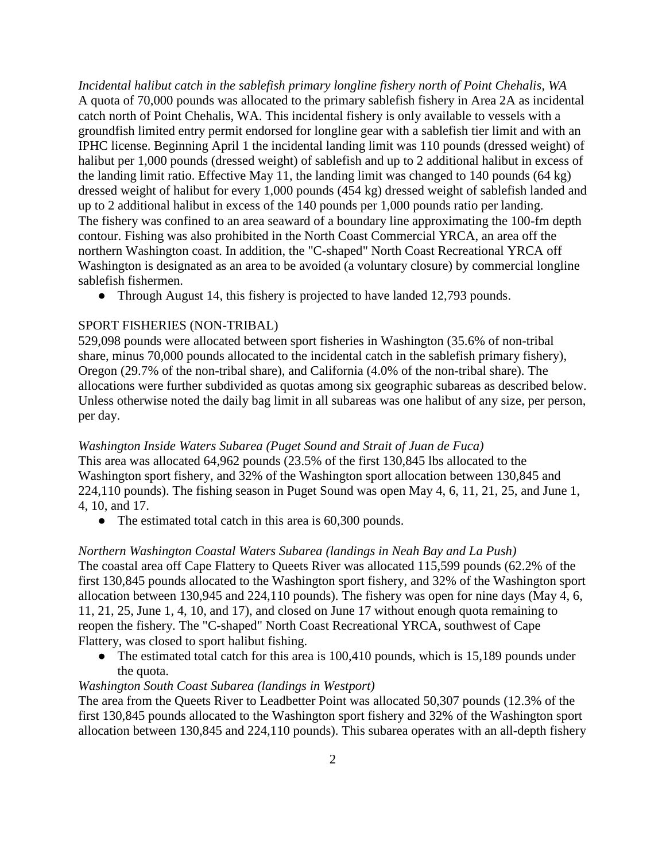*Incidental halibut catch in the sablefish primary longline fishery north of Point Chehalis, WA* A quota of 70,000 pounds was allocated to the primary sablefish fishery in Area 2A as incidental catch north of Point Chehalis, WA. This incidental fishery is only available to vessels with a groundfish limited entry permit endorsed for longline gear with a sablefish tier limit and with an IPHC license. Beginning April 1 the incidental landing limit was 110 pounds (dressed weight) of halibut per 1,000 pounds (dressed weight) of sablefish and up to 2 additional halibut in excess of the landing limit ratio. Effective May 11, the landing limit was changed to 140 pounds (64 kg) dressed weight of halibut for every 1,000 pounds (454 kg) dressed weight of sablefish landed and up to 2 additional halibut in excess of the 140 pounds per 1,000 pounds ratio per landing. The fishery was confined to an area seaward of a boundary line approximating the 100-fm depth contour. Fishing was also prohibited in the North Coast Commercial YRCA, an area off the northern Washington coast. In addition, the "C-shaped" North Coast Recreational YRCA off Washington is designated as an area to be avoided (a voluntary closure) by commercial longline sablefish fishermen.

• Through August 14, this fishery is projected to have landed 12,793 pounds.

## SPORT FISHERIES (NON-TRIBAL)

529,098 pounds were allocated between sport fisheries in Washington (35.6% of non-tribal share, minus 70,000 pounds allocated to the incidental catch in the sablefish primary fishery), Oregon (29.7% of the non-tribal share), and California (4.0% of the non-tribal share). The allocations were further subdivided as quotas among six geographic subareas as described below. Unless otherwise noted the daily bag limit in all subareas was one halibut of any size, per person, per day.

#### *Washington Inside Waters Subarea (Puget Sound and Strait of Juan de Fuca)*

This area was allocated 64,962 pounds (23.5% of the first 130,845 lbs allocated to the Washington sport fishery, and 32% of the Washington sport allocation between 130,845 and 224,110 pounds). The fishing season in Puget Sound was open May 4, 6, 11, 21, 25, and June 1, 4, 10, and 17.

• The estimated total catch in this area is 60,300 pounds.

#### *Northern Washington Coastal Waters Subarea (landings in Neah Bay and La Push)*

The coastal area off Cape Flattery to Queets River was allocated 115,599 pounds (62.2% of the first 130,845 pounds allocated to the Washington sport fishery, and 32% of the Washington sport allocation between 130,945 and 224,110 pounds). The fishery was open for nine days (May 4, 6, 11, 21, 25, June 1, 4, 10, and 17), and closed on June 17 without enough quota remaining to reopen the fishery. The "C-shaped" North Coast Recreational YRCA, southwest of Cape Flattery, was closed to sport halibut fishing.

• The estimated total catch for this area is 100,410 pounds, which is 15,189 pounds under the quota.

### *Washington South Coast Subarea (landings in Westport)*

The area from the Queets River to Leadbetter Point was allocated 50,307 pounds (12.3% of the first 130,845 pounds allocated to the Washington sport fishery and 32% of the Washington sport allocation between 130,845 and 224,110 pounds). This subarea operates with an all-depth fishery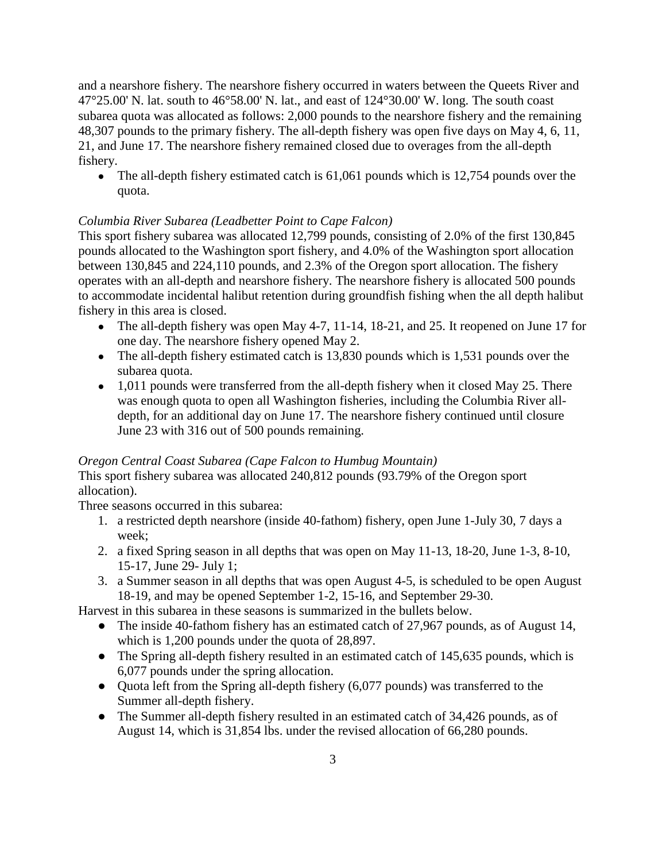and a nearshore fishery. The nearshore fishery occurred in waters between the Queets River and  $47^{\circ}25.00'$  N. lat. south to  $46^{\circ}58.00'$  N. lat., and east of  $124^{\circ}30.00'$  W. long. The south coast subarea quota was allocated as follows: 2,000 pounds to the nearshore fishery and the remaining 48,307 pounds to the primary fishery. The all-depth fishery was open five days on May 4, 6, 11, 21, and June 17. The nearshore fishery remained closed due to overages from the all-depth fishery.

• The all-depth fishery estimated catch is 61,061 pounds which is 12,754 pounds over the quota.

# *Columbia River Subarea (Leadbetter Point to Cape Falcon)*

This sport fishery subarea was allocated 12,799 pounds, consisting of 2.0% of the first 130,845 pounds allocated to the Washington sport fishery, and 4.0% of the Washington sport allocation between 130,845 and 224,110 pounds, and 2.3% of the Oregon sport allocation. The fishery operates with an all-depth and nearshore fishery. The nearshore fishery is allocated 500 pounds to accommodate incidental halibut retention during groundfish fishing when the all depth halibut fishery in this area is closed.

- The all-depth fishery was open May 4-7, 11-14, 18-21, and 25. It reopened on June 17 for one day. The nearshore fishery opened May 2.
- The all-depth fishery estimated catch is 13,830 pounds which is 1,531 pounds over the subarea quota.
- 1,011 pounds were transferred from the all-depth fishery when it closed May 25. There was enough quota to open all Washington fisheries, including the Columbia River alldepth, for an additional day on June 17. The nearshore fishery continued until closure June 23 with 316 out of 500 pounds remaining.

# *Oregon Central Coast Subarea (Cape Falcon to Humbug Mountain)*

This sport fishery subarea was allocated 240,812 pounds (93.79% of the Oregon sport allocation).

Three seasons occurred in this subarea:

- 1. a restricted depth nearshore (inside 40-fathom) fishery, open June 1-July 30, 7 days a week;
- 2. a fixed Spring season in all depths that was open on May 11-13, 18-20, June 1-3, 8-10, 15-17, June 29- July 1;
- 3. a Summer season in all depths that was open August 4-5, is scheduled to be open August 18-19, and may be opened September 1-2, 15-16, and September 29-30.

Harvest in this subarea in these seasons is summarized in the bullets below.

- The inside 40-fathom fishery has an estimated catch of 27,967 pounds, as of August 14, which is 1,200 pounds under the quota of 28,897.
- The Spring all-depth fishery resulted in an estimated catch of 145,635 pounds, which is 6,077 pounds under the spring allocation.
- Quota left from the Spring all-depth fishery (6,077 pounds) was transferred to the Summer all-depth fishery.
- The Summer all-depth fishery resulted in an estimated catch of 34,426 pounds, as of August 14, which is 31,854 lbs. under the revised allocation of 66,280 pounds.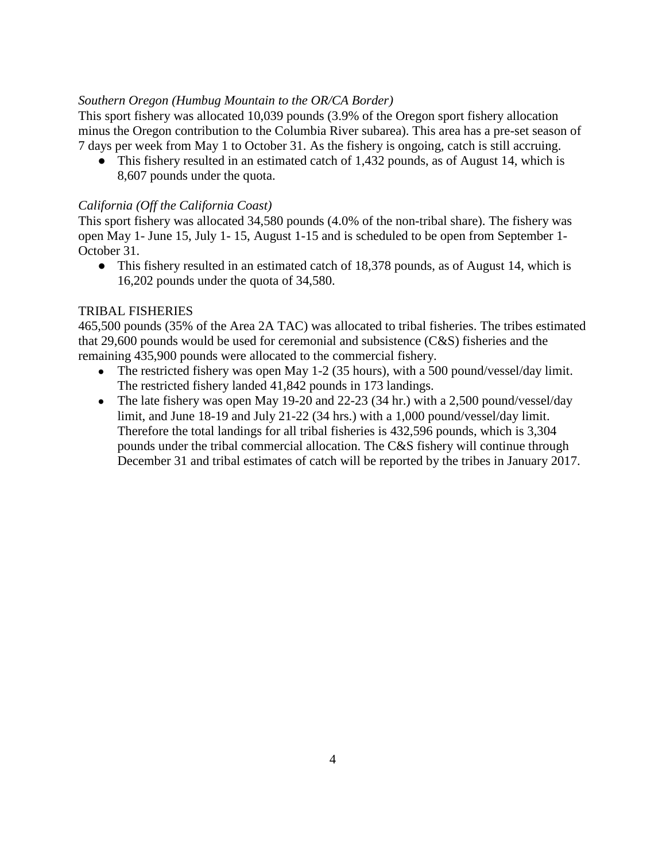# *Southern Oregon (Humbug Mountain to the OR/CA Border)*

This sport fishery was allocated 10,039 pounds (3.9% of the Oregon sport fishery allocation minus the Oregon contribution to the Columbia River subarea). This area has a pre-set season of 7 days per week from May 1 to October 31. As the fishery is ongoing, catch is still accruing.

• This fishery resulted in an estimated catch of 1,432 pounds, as of August 14, which is 8,607 pounds under the quota.

## *California (Off the California Coast)*

This sport fishery was allocated 34,580 pounds (4.0% of the non-tribal share). The fishery was open May 1- June 15, July 1- 15, August 1-15 and is scheduled to be open from September 1- October 31.

• This fishery resulted in an estimated catch of 18,378 pounds, as of August 14, which is 16,202 pounds under the quota of 34,580.

## TRIBAL FISHERIES

465,500 pounds (35% of the Area 2A TAC) was allocated to tribal fisheries. The tribes estimated that 29,600 pounds would be used for ceremonial and subsistence (C&S) fisheries and the remaining 435,900 pounds were allocated to the commercial fishery.

- The restricted fishery was open May 1-2 (35 hours), with a 500 pound/vessel/day limit. The restricted fishery landed 41,842 pounds in 173 landings.
- The late fishery was open May 19-20 and 22-23 (34 hr.) with a 2,500 pound/vessel/day limit, and June 18-19 and July 21-22 (34 hrs.) with a 1,000 pound/vessel/day limit. Therefore the total landings for all tribal fisheries is 432,596 pounds, which is 3,304 pounds under the tribal commercial allocation. The C&S fishery will continue through December 31 and tribal estimates of catch will be reported by the tribes in January 2017.